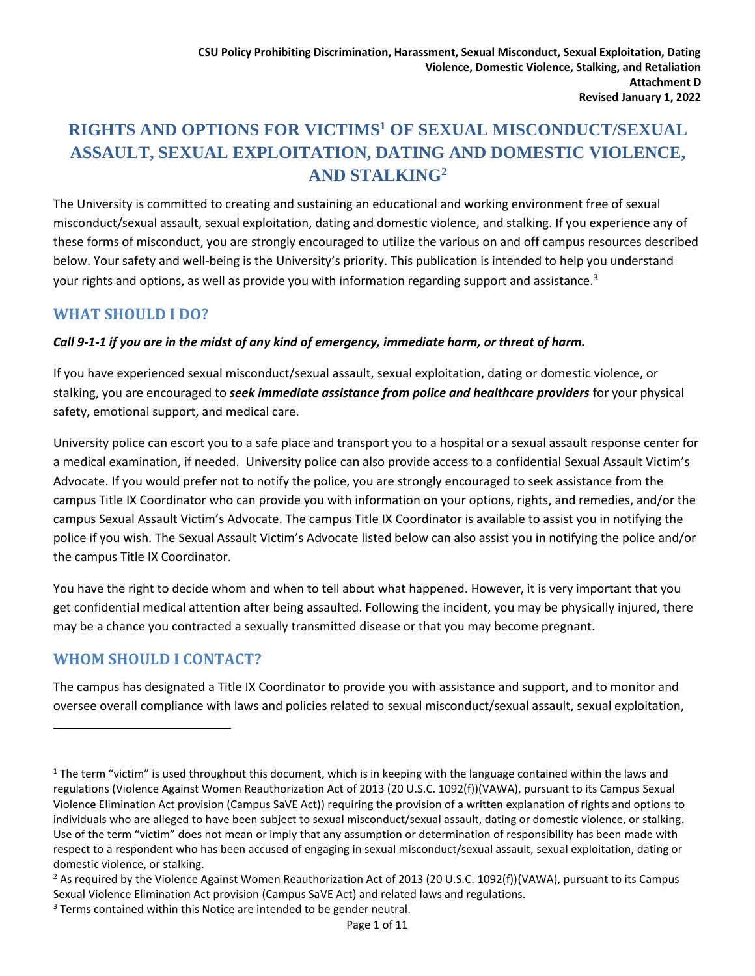# **RIGHTS AND OPTIONS FOR VICTIMS<sup>1</sup> OF SEXUAL MISCONDUCT/SEXUAL ASSAULT, SEXUAL EXPLOITATION, DATING AND DOMESTIC VIOLENCE, AND STALKING<sup>2</sup>**

The University is committed to creating and sustaining an educational and working environment free of sexual misconduct/sexual assault, sexual exploitation, dating and domestic violence, and stalking. If you experience any of these forms of misconduct, you are strongly encouraged to utilize the various on and off campus resources described below. Your safety and well-being is the University's priority. This publication is intended to help you understand your rights and options, as well as provide you with information regarding support and assistance.<sup>3</sup>

# **WHAT SHOULD I DO?**

## *Call 9-1-1 if you are in the midst of any kind of emergency, immediate harm, or threat of harm.*

If you have experienced sexual misconduct/sexual assault, sexual exploitation, dating or domestic violence, or stalking, you are encouraged to *seek immediate assistance from police and healthcare providers* for your physical safety, emotional support, and medical care.

University police can escort you to a safe place and transport you to a hospital or a sexual assault response center for a medical examination, if needed. University police can also provide access to a confidential Sexual Assault Victim's Advocate. If you would prefer not to notify the police, you are strongly encouraged to seek assistance from the campus Title IX Coordinator who can provide you with information on your options, rights, and remedies, and/or the campus Sexual Assault Victim's Advocate. The campus Title IX Coordinator is available to assist you in notifying the police if you wish. The Sexual Assault Victim's Advocate listed below can also assist you in notifying the police and/or the campus Title IX Coordinator.

You have the right to decide whom and when to tell about what happened. However, it is very important that you get confidential medical attention after being assaulted. Following the incident, you may be physically injured, there may be a chance you contracted a sexually transmitted disease or that you may become pregnant.

# **WHOM SHOULD I CONTACT?**

 $\overline{\phantom{a}}$ 

The campus has designated a Title IX Coordinator to provide you with assistance and support, and to monitor and oversee overall compliance with laws and policies related to sexual misconduct/sexual assault, sexual exploitation,

 $1$  The term "victim" is used throughout this document, which is in keeping with the language contained within the laws and regulations (Violence Against Women Reauthorization Act of 2013 (20 U.S.C. 1092(f))(VAWA), pursuant to its Campus Sexual Violence Elimination Act provision (Campus SaVE Act)) requiring the provision of a written explanation of rights and options to individuals who are alleged to have been subject to sexual misconduct/sexual assault, dating or domestic violence, or stalking. Use of the term "victim" does not mean or imply that any assumption or determination of responsibility has been made with respect to a respondent who has been accused of engaging in sexual misconduct/sexual assault, sexual exploitation, dating or domestic violence, or stalking.

<sup>&</sup>lt;sup>2</sup> As required by the Violence Against Women Reauthorization Act of 2013 (20 U.S.C. 1092(f))(VAWA), pursuant to its Campus Sexual Violence Elimination Act provision (Campus SaVE Act) and related laws and regulations.

 $3$  Terms contained within this Notice are intended to be gender neutral.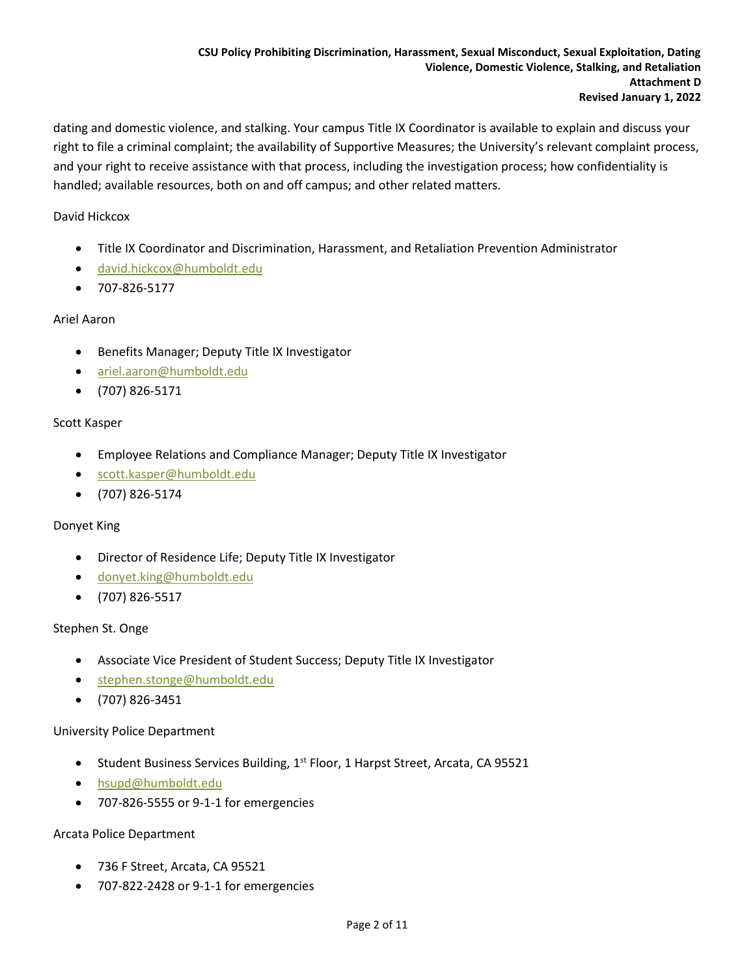dating and domestic violence, and stalking. Your campus Title IX Coordinator is available to explain and discuss your right to file a criminal complaint; the availability of Supportive Measures; the University's relevant complaint process, and your right to receive assistance with that process, including the investigation process; how confidentiality is handled; available resources, both on and off campus; and other related matters.

#### David Hickcox

- Title IX Coordinator and Discrimination, Harassment, and Retaliation Prevention Administrator
- [david.hickcox@humboldt.edu](mailto:david.hickcox@humboldt.edu)
- 707-826-5177

#### Ariel Aaron

- Benefits Manager; Deputy Title IX Investigator
- [ariel.aaron@humboldt.edu](mailto:ariel.aaron@humboldt.edu)
- (707) 826-5171

#### Scott Kasper

- Employee Relations and Compliance Manager; Deputy Title IX Investigator
- [scott.kasper@humboldt.edu](mailto:scott.kasper@humboldt.edu)
- (707) 826-5174

#### Donyet King

- Director of Residence Life; Deputy Title IX Investigator
- [donyet.king@humboldt.edu](mailto:donyet.king@humboldt.edu)
- (707) 826-5517

#### Stephen St. Onge

- Associate Vice President of Student Success; Deputy Title IX Investigator
- [stephen.stonge@humboldt.edu](mailto:stephen.stonge@humboldt.edu)
- (707) 826-3451

#### University Police Department

- Student Business Services Building, 1<sup>st</sup> Floor, 1 Harpst Street, Arcata, CA 95521
- [hsupd@humboldt.edu](mailto:hsupd@humboldt.edu)
- 707-826-5555 or 9-1-1 for emergencies

#### Arcata Police Department

- 736 F Street, Arcata, CA 95521
- 707-822-2428 or 9-1-1 for emergencies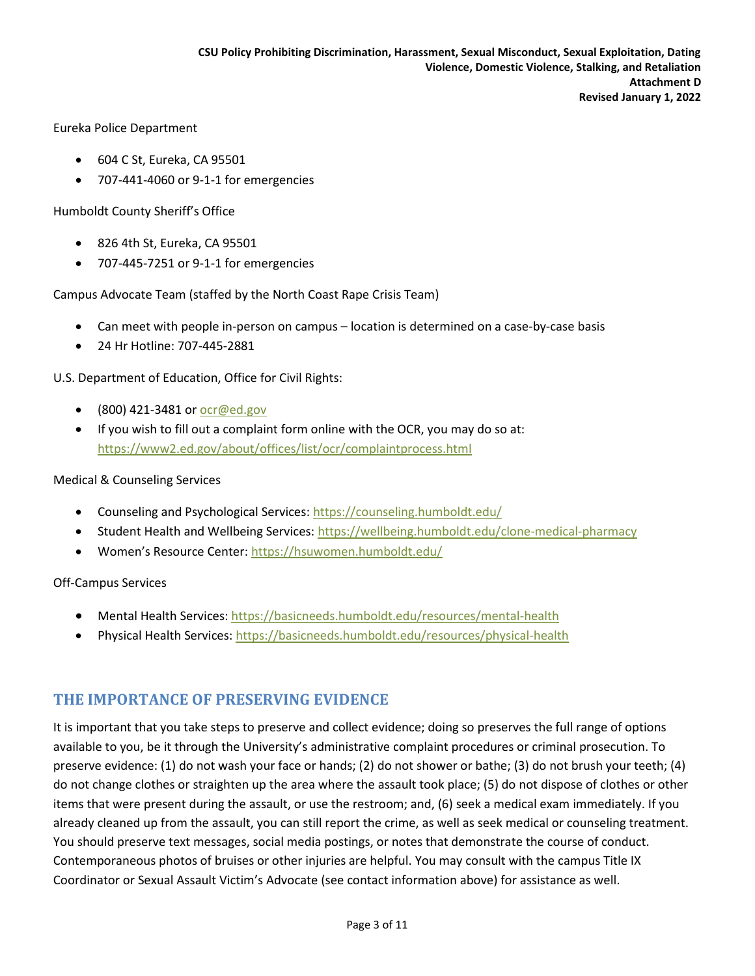Eureka Police Department

- 604 C St, Eureka, CA 95501
- 707-441-4060 or 9-1-1 for emergencies

Humboldt County Sheriff's Office

- 826 4th St, Eureka, CA 95501
- 707-445-7251 or 9-1-1 for emergencies

Campus Advocate Team (staffed by the North Coast Rape Crisis Team)

- Can meet with people in-person on campus location is determined on a case-by-case basis
- 24 Hr Hotline: 707-445-2881

U.S. Department of Education, Office for Civil Rights:

- $\bullet$  (800) 421-3481 or [ocr@ed.gov](mailto:ocr@ed.gov)
- If you wish to fill out a complaint form online with the OCR, you may do so at: <https://www2.ed.gov/about/offices/list/ocr/complaintprocess.html>

#### Medical & Counseling Services

- Counseling and Psychological Services:<https://counseling.humboldt.edu/>
- Student Health and Wellbeing Services[: https://wellbeing.humboldt.edu/clone-medical-pharmacy](https://wellbeing.humboldt.edu/clone-medical-pharmacy)
- Women's Resource Center: <https://hsuwomen.humboldt.edu/>

Off-Campus Services

- Mental Health Services[: https://basicneeds.humboldt.edu/resources/mental-health](https://basicneeds.humboldt.edu/resources/mental-health)
- Physical Health Services:<https://basicneeds.humboldt.edu/resources/physical-health>

## **THE IMPORTANCE OF PRESERVING EVIDENCE**

It is important that you take steps to preserve and collect evidence; doing so preserves the full range of options available to you, be it through the University's administrative complaint procedures or criminal prosecution. To preserve evidence: (1) do not wash your face or hands; (2) do not shower or bathe; (3) do not brush your teeth; (4) do not change clothes or straighten up the area where the assault took place; (5) do not dispose of clothes or other items that were present during the assault, or use the restroom; and, (6) seek a medical exam immediately. If you already cleaned up from the assault, you can still report the crime, as well as seek medical or counseling treatment. You should preserve text messages, social media postings, or notes that demonstrate the course of conduct. Contemporaneous photos of bruises or other injuries are helpful. You may consult with the campus Title IX Coordinator or Sexual Assault Victim's Advocate (see contact information above) for assistance as well.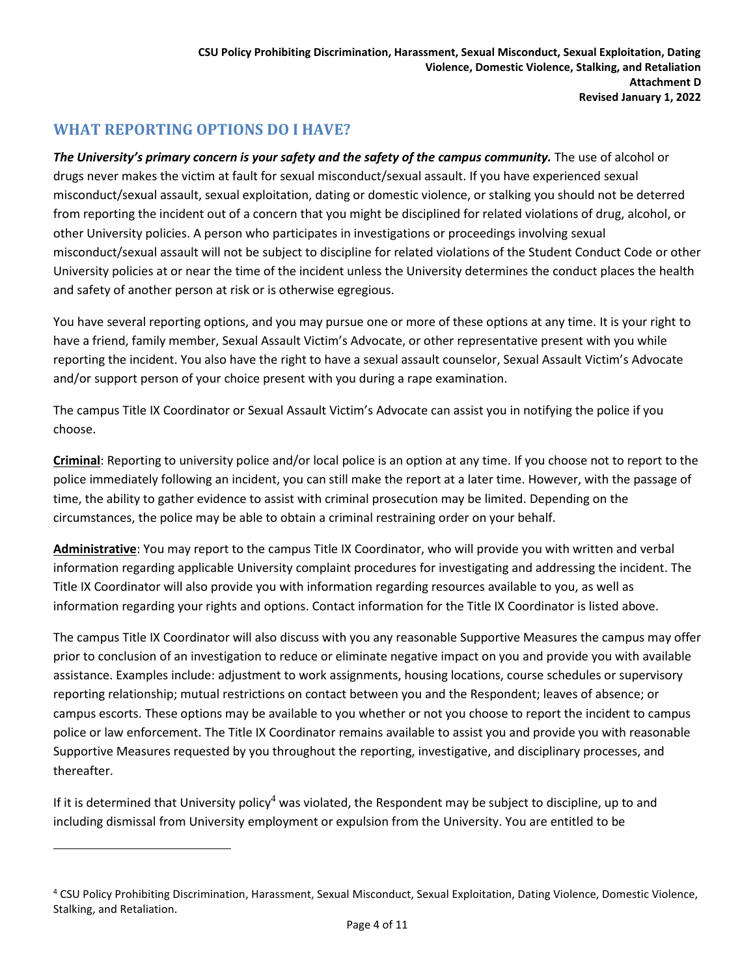# **WHAT REPORTING OPTIONS DO I HAVE?**

 $\overline{a}$ 

*The University's primary concern is your safety and the safety of the campus community.* The use of alcohol or drugs never makes the victim at fault for sexual misconduct/sexual assault. If you have experienced sexual misconduct/sexual assault, sexual exploitation, dating or domestic violence, or stalking you should not be deterred from reporting the incident out of a concern that you might be disciplined for related violations of drug, alcohol, or other University policies. A person who participates in investigations or proceedings involving sexual misconduct/sexual assault will not be subject to discipline for related violations of the Student Conduct Code or other University policies at or near the time of the incident unless the University determines the conduct places the health and safety of another person at risk or is otherwise egregious.

You have several reporting options, and you may pursue one or more of these options at any time. It is your right to have a friend, family member, Sexual Assault Victim's Advocate, or other representative present with you while reporting the incident. You also have the right to have a sexual assault counselor, Sexual Assault Victim's Advocate and/or support person of your choice present with you during a rape examination.

The campus Title IX Coordinator or Sexual Assault Victim's Advocate can assist you in notifying the police if you choose.

**Criminal**: Reporting to university police and/or local police is an option at any time. If you choose not to report to the police immediately following an incident, you can still make the report at a later time. However, with the passage of time, the ability to gather evidence to assist with criminal prosecution may be limited. Depending on the circumstances, the police may be able to obtain a criminal restraining order on your behalf.

**Administrative**: You may report to the campus Title IX Coordinator, who will provide you with written and verbal information regarding applicable University complaint procedures for investigating and addressing the incident. The Title IX Coordinator will also provide you with information regarding resources available to you, as well as information regarding your rights and options. Contact information for the Title IX Coordinator is listed above.

The campus Title IX Coordinator will also discuss with you any reasonable Supportive Measures the campus may offer prior to conclusion of an investigation to reduce or eliminate negative impact on you and provide you with available assistance. Examples include: adjustment to work assignments, housing locations, course schedules or supervisory reporting relationship; mutual restrictions on contact between you and the Respondent; leaves of absence; or campus escorts. These options may be available to you whether or not you choose to report the incident to campus police or law enforcement. The Title IX Coordinator remains available to assist you and provide you with reasonable Supportive Measures requested by you throughout the reporting, investigative, and disciplinary processes, and thereafter.

If it is determined that University policy<sup>4</sup> was violated, the Respondent may be subject to discipline, up to and including dismissal from University employment or expulsion from the University. You are entitled to be

<sup>4</sup> CSU Policy Prohibiting Discrimination, Harassment, Sexual Misconduct, Sexual Exploitation, Dating Violence, Domestic Violence, Stalking, and Retaliation.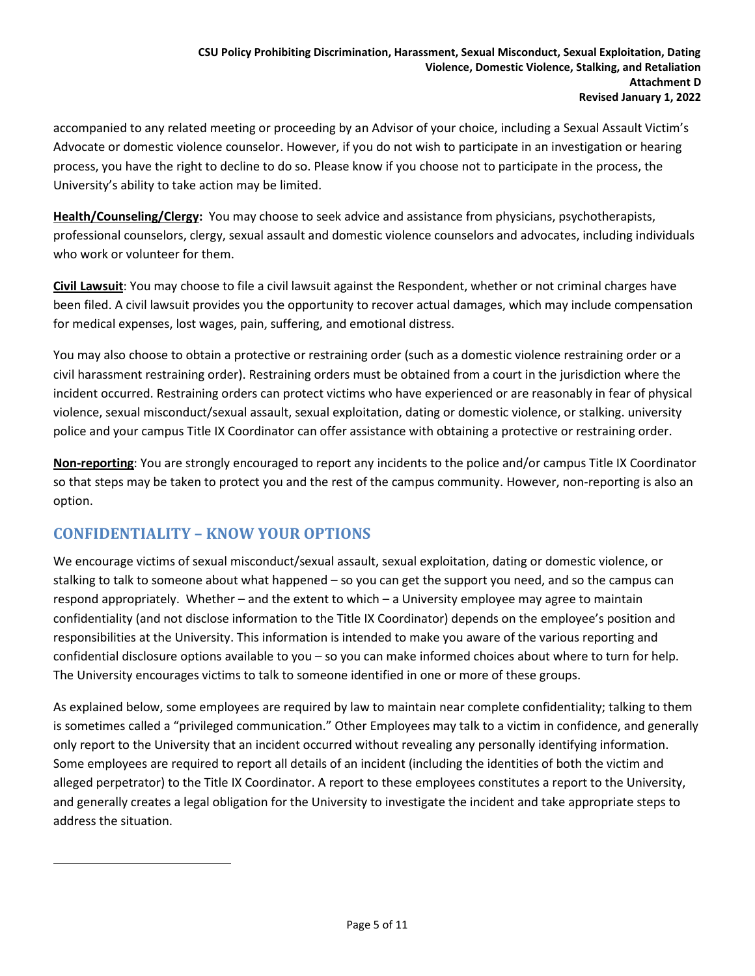accompanied to any related meeting or proceeding by an Advisor of your choice, including a Sexual Assault Victim's Advocate or domestic violence counselor. However, if you do not wish to participate in an investigation or hearing process, you have the right to decline to do so. Please know if you choose not to participate in the process, the University's ability to take action may be limited.

**Health/Counseling/Clergy:** You may choose to seek advice and assistance from physicians, psychotherapists, professional counselors, clergy, sexual assault and domestic violence counselors and advocates, including individuals who work or volunteer for them.

**Civil Lawsuit**: You may choose to file a civil lawsuit against the Respondent, whether or not criminal charges have been filed. A civil lawsuit provides you the opportunity to recover actual damages, which may include compensation for medical expenses, lost wages, pain, suffering, and emotional distress.

You may also choose to obtain a protective or restraining order (such as a domestic violence restraining order or a civil harassment restraining order). Restraining orders must be obtained from a court in the jurisdiction where the incident occurred. Restraining orders can protect victims who have experienced or are reasonably in fear of physical violence, sexual misconduct/sexual assault, sexual exploitation, dating or domestic violence, or stalking. university police and your campus Title IX Coordinator can offer assistance with obtaining a protective or restraining order.

**Non-reporting**: You are strongly encouraged to report any incidents to the police and/or campus Title IX Coordinator so that steps may be taken to protect you and the rest of the campus community. However, non-reporting is also an option.

# **CONFIDENTIALITY – KNOW YOUR OPTIONS**

 $\overline{\phantom{a}}$ 

We encourage victims of sexual misconduct/sexual assault, sexual exploitation, dating or domestic violence, or stalking to talk to someone about what happened – so you can get the support you need, and so the campus can respond appropriately. Whether – and the extent to which – a University employee may agree to maintain confidentiality (and not disclose information to the Title IX Coordinator) depends on the employee's position and responsibilities at the University. This information is intended to make you aware of the various reporting and confidential disclosure options available to you – so you can make informed choices about where to turn for help. The University encourages victims to talk to someone identified in one or more of these groups.

As explained below, some employees are required by law to maintain near complete confidentiality; talking to them is sometimes called a "privileged communication." Other Employees may talk to a victim in confidence, and generally only report to the University that an incident occurred without revealing any personally identifying information. Some employees are required to report all details of an incident (including the identities of both the victim and alleged perpetrator) to the Title IX Coordinator. A report to these employees constitutes a report to the University, and generally creates a legal obligation for the University to investigate the incident and take appropriate steps to address the situation.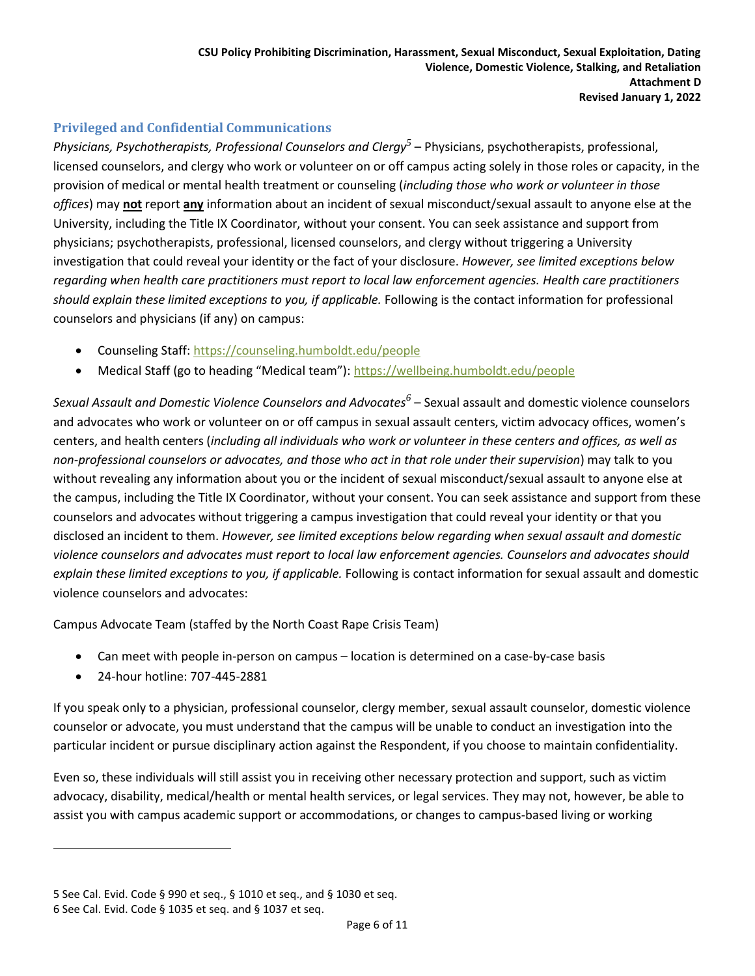### **Privileged and Confidential Communications**

Physicians, Psychotherapists, Professional Counselors and Clergy<sup>5</sup> – Physicians, psychotherapists, professional, licensed counselors, and clergy who work or volunteer on or off campus acting solely in those roles or capacity, in the provision of medical or mental health treatment or counseling (*including those who work or volunteer in those offices*) may **not** report **any** information about an incident of sexual misconduct/sexual assault to anyone else at the University, including the Title IX Coordinator, without your consent. You can seek assistance and support from physicians; psychotherapists, professional, licensed counselors, and clergy without triggering a University investigation that could reveal your identity or the fact of your disclosure. *However, see limited exceptions below regarding when health care practitioners must report to local law enforcement agencies. Health care practitioners should explain these limited exceptions to you, if applicable.* Following is the contact information for professional counselors and physicians (if any) on campus:

- Counseling Staff:<https://counseling.humboldt.edu/people>
- Medical Staff (go to heading "Medical team"): <https://wellbeing.humboldt.edu/people>

Sexual Assault and Domestic Violence Counselors and Advocates<sup>6</sup> – Sexual assault and domestic violence counselors and advocates who work or volunteer on or off campus in sexual assault centers, victim advocacy offices, women's centers, and health centers (*including all individuals who work or volunteer in these centers and offices, as well as non-professional counselors or advocates, and those who act in that role under their supervision*) may talk to you without revealing any information about you or the incident of sexual misconduct/sexual assault to anyone else at the campus, including the Title IX Coordinator, without your consent. You can seek assistance and support from these counselors and advocates without triggering a campus investigation that could reveal your identity or that you disclosed an incident to them. *However, see limited exceptions below regarding when sexual assault and domestic violence counselors and advocates must report to local law enforcement agencies. Counselors and advocates should explain these limited exceptions to you, if applicable.* Following is contact information for sexual assault and domestic violence counselors and advocates:

Campus Advocate Team (staffed by the North Coast Rape Crisis Team)

- Can meet with people in-person on campus location is determined on a case-by-case basis
- 24-hour hotline: 707-445-2881

 $\overline{a}$ 

If you speak only to a physician, professional counselor, clergy member, sexual assault counselor, domestic violence counselor or advocate, you must understand that the campus will be unable to conduct an investigation into the particular incident or pursue disciplinary action against the Respondent, if you choose to maintain confidentiality.

Even so, these individuals will still assist you in receiving other necessary protection and support, such as victim advocacy, disability, medical/health or mental health services, or legal services. They may not, however, be able to assist you with campus academic support or accommodations, or changes to campus-based living or working

<sup>5</sup> See Cal. Evid. Code § 990 et seq., § 1010 et seq., and § 1030 et seq.

<sup>6</sup> See Cal. Evid. Code § 1035 et seq. and § 1037 et seq.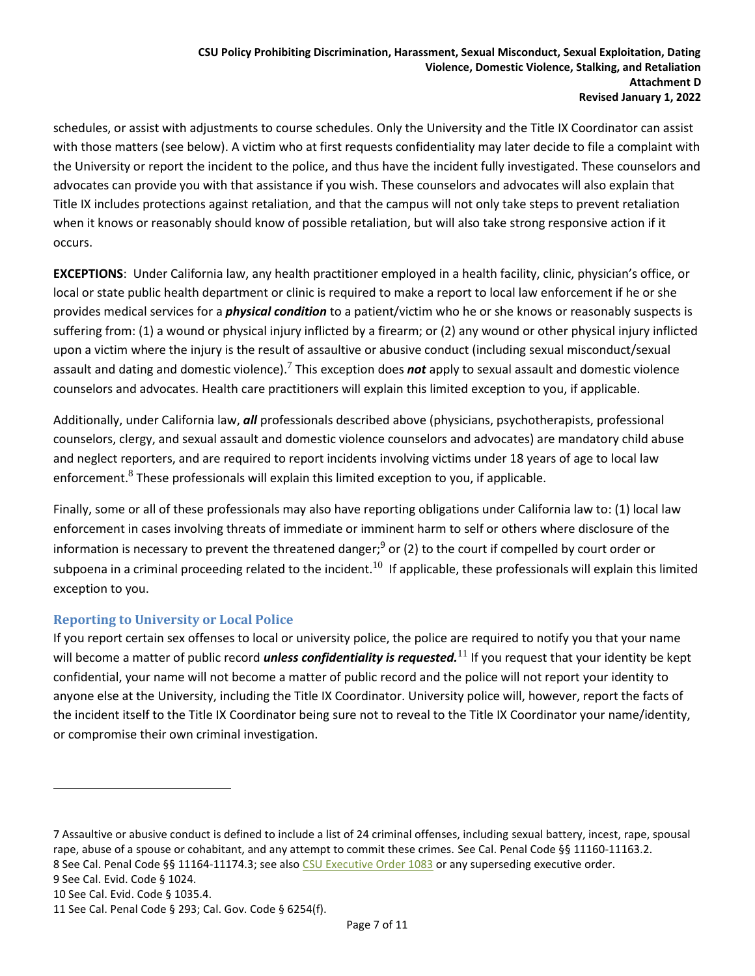**Revised January 1, 2022**

schedules, or assist with adjustments to course schedules. Only the University and the Title IX Coordinator can assist with those matters (see below). A victim who at first requests confidentiality may later decide to file a complaint with the University or report the incident to the police, and thus have the incident fully investigated. These counselors and advocates can provide you with that assistance if you wish. These counselors and advocates will also explain that Title IX includes protections against retaliation, and that the campus will not only take steps to prevent retaliation when it knows or reasonably should know of possible retaliation, but will also take strong responsive action if it occurs.

**EXCEPTIONS**: Under California law, any health practitioner employed in a health facility, clinic, physician's office, or local or state public health department or clinic is required to make a report to local law enforcement if he or she provides medical services for a *physical condition* to a patient/victim who he or she knows or reasonably suspects is suffering from: (1) a wound or physical injury inflicted by a firearm; or (2) any wound or other physical injury inflicted upon a victim where the injury is the result of assaultive or abusive conduct (including sexual misconduct/sexual assault and dating and domestic violence).<sup>7</sup> This exception does *not* apply to sexual assault and domestic violence counselors and advocates. Health care practitioners will explain this limited exception to you, if applicable.

Additionally, under California law, *all* professionals described above (physicians, psychotherapists, professional counselors, clergy, and sexual assault and domestic violence counselors and advocates) are mandatory child abuse and neglect reporters, and are required to report incidents involving victims under 18 years of age to local law enforcement. $8$  These professionals will explain this limited exception to you, if applicable.

Finally, some or all of these professionals may also have reporting obligations under California law to: (1) local law enforcement in cases involving threats of immediate or imminent harm to self or others where disclosure of the information is necessary to prevent the threatened danger;<sup>9</sup> or (2) to the court if compelled by court order or subpoena in a criminal proceeding related to the incident.<sup>10</sup> If applicable, these professionals will explain this limited exception to you.

### **Reporting to University or Local Police**

If you report certain sex offenses to local or university police, the police are required to notify you that your name will become a matter of public record *unless confidentiality is requested*.<sup>11</sup> If you request that your identity be kept confidential, your name will not become a matter of public record and the police will not report your identity to anyone else at the University, including the Title IX Coordinator. University police will, however, report the facts of the incident itself to the Title IX Coordinator being sure not to reveal to the Title IX Coordinator your name/identity, or compromise their own criminal investigation.

 $\overline{\phantom{a}}$ 

<sup>7</sup> Assaultive or abusive conduct is defined to include a list of 24 criminal offenses, including sexual battery, incest, rape, spousal rape, abuse of a spouse or cohabitant, and any attempt to commit these crimes. See Cal. Penal Code §§ 11160-11163.2. 8 See Cal. Penal Code §§ 11164-11174.3; see als[o CSU Executive Order 1083](https://calstate.policystat.com/policy/6596436/latest/) or any superseding executive order.

<sup>9</sup> See Cal. Evid. Code § 1024.

<sup>10</sup> See Cal. Evid. Code § 1035.4.

<sup>11</sup> See Cal. Penal Code § 293; Cal. Gov. Code § 6254(f).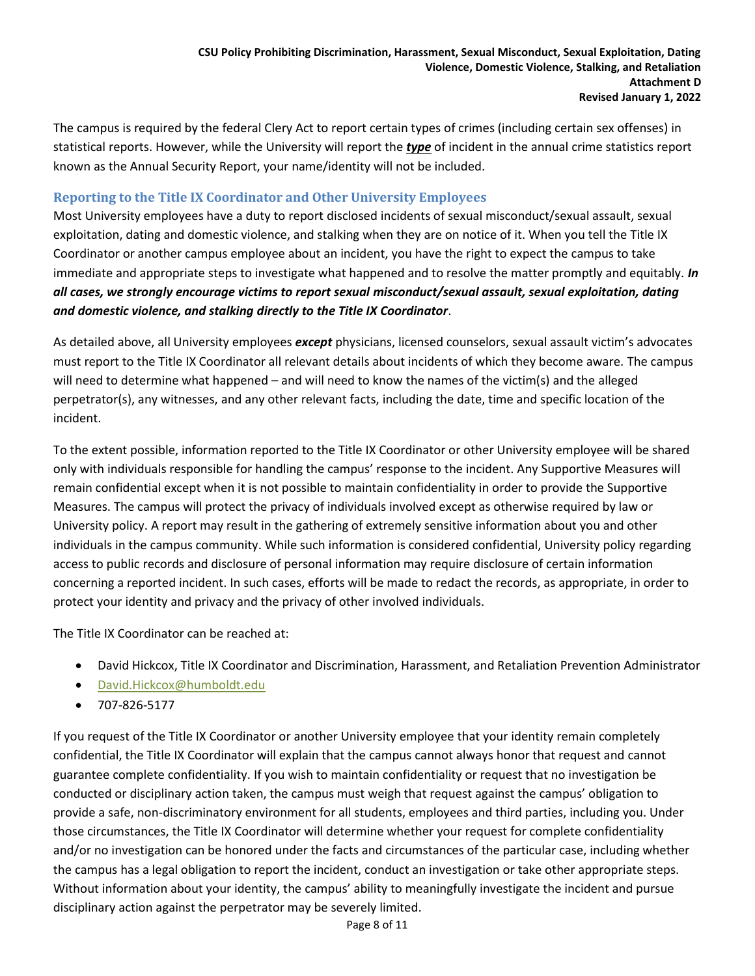The campus is required by the federal Clery Act to report certain types of crimes (including certain sex offenses) in statistical reports. However, while the University will report the *type* of incident in the annual crime statistics report known as the Annual Security Report, your name/identity will not be included.

#### **Reporting to the Title IX Coordinator and Other University Employees**

Most University employees have a duty to report disclosed incidents of sexual misconduct/sexual assault, sexual exploitation, dating and domestic violence, and stalking when they are on notice of it. When you tell the Title IX Coordinator or another campus employee about an incident, you have the right to expect the campus to take immediate and appropriate steps to investigate what happened and to resolve the matter promptly and equitably. *In all cases, we strongly encourage victims to report sexual misconduct/sexual assault, sexual exploitation, dating and domestic violence, and stalking directly to the Title IX Coordinator*.

As detailed above, all University employees *except* physicians, licensed counselors, sexual assault victim's advocates must report to the Title IX Coordinator all relevant details about incidents of which they become aware. The campus will need to determine what happened – and will need to know the names of the victim(s) and the alleged perpetrator(s), any witnesses, and any other relevant facts, including the date, time and specific location of the incident.

To the extent possible, information reported to the Title IX Coordinator or other University employee will be shared only with individuals responsible for handling the campus' response to the incident. Any Supportive Measures will remain confidential except when it is not possible to maintain confidentiality in order to provide the Supportive Measures. The campus will protect the privacy of individuals involved except as otherwise required by law or University policy. A report may result in the gathering of extremely sensitive information about you and other individuals in the campus community. While such information is considered confidential, University policy regarding access to public records and disclosure of personal information may require disclosure of certain information concerning a reported incident. In such cases, efforts will be made to redact the records, as appropriate, in order to protect your identity and privacy and the privacy of other involved individuals.

The Title IX Coordinator can be reached at:

- David Hickcox, Title IX Coordinator and Discrimination, Harassment, and Retaliation Prevention Administrator
- [David.Hickcox@humboldt.edu](mailto:David.Hickcox@humboldt.edu)
- 707-826-5177

If you request of the Title IX Coordinator or another University employee that your identity remain completely confidential, the Title IX Coordinator will explain that the campus cannot always honor that request and cannot guarantee complete confidentiality. If you wish to maintain confidentiality or request that no investigation be conducted or disciplinary action taken, the campus must weigh that request against the campus' obligation to provide a safe, non-discriminatory environment for all students, employees and third parties, including you. Under those circumstances, the Title IX Coordinator will determine whether your request for complete confidentiality and/or no investigation can be honored under the facts and circumstances of the particular case, including whether the campus has a legal obligation to report the incident, conduct an investigation or take other appropriate steps. Without information about your identity, the campus' ability to meaningfully investigate the incident and pursue disciplinary action against the perpetrator may be severely limited.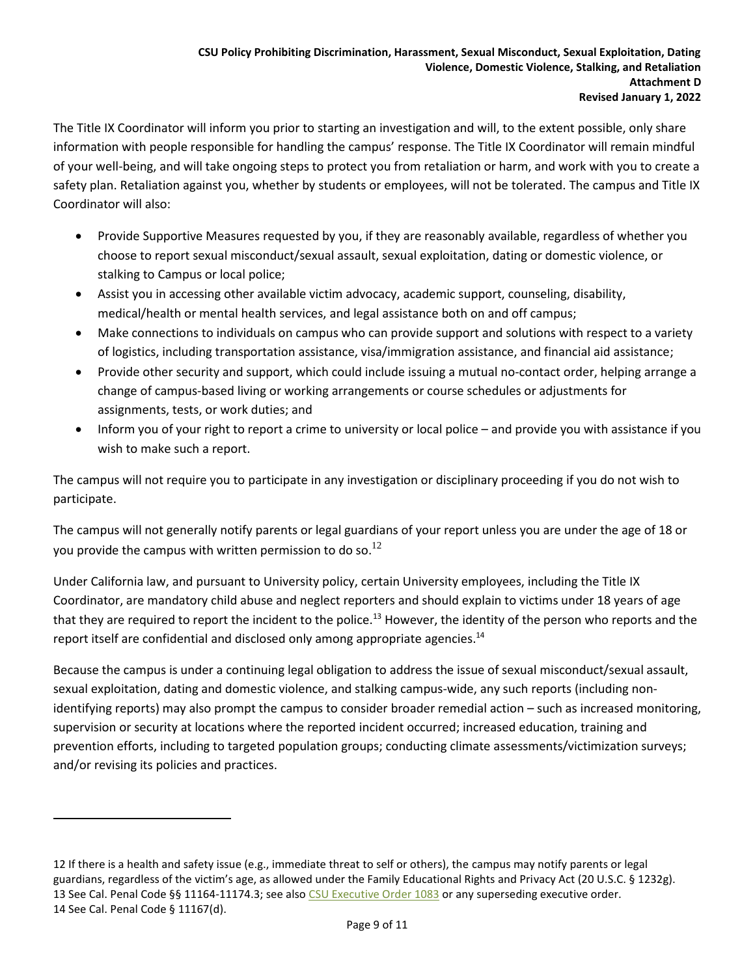**Revised January 1, 2022**

The Title IX Coordinator will inform you prior to starting an investigation and will, to the extent possible, only share information with people responsible for handling the campus' response. The Title IX Coordinator will remain mindful of your well-being, and will take ongoing steps to protect you from retaliation or harm, and work with you to create a safety plan. Retaliation against you, whether by students or employees, will not be tolerated. The campus and Title IX Coordinator will also:

- Provide Supportive Measures requested by you, if they are reasonably available, regardless of whether you choose to report sexual misconduct/sexual assault, sexual exploitation, dating or domestic violence, or stalking to Campus or local police;
- Assist you in accessing other available victim advocacy, academic support, counseling, disability, medical/health or mental health services, and legal assistance both on and off campus;
- Make connections to individuals on campus who can provide support and solutions with respect to a variety of logistics, including transportation assistance, visa/immigration assistance, and financial aid assistance;
- Provide other security and support, which could include issuing a mutual no-contact order, helping arrange a change of campus-based living or working arrangements or course schedules or adjustments for assignments, tests, or work duties; and
- Inform you of your right to report a crime to university or local police and provide you with assistance if you wish to make such a report.

The campus will not require you to participate in any investigation or disciplinary proceeding if you do not wish to participate.

The campus will not generally notify parents or legal guardians of your report unless you are under the age of 18 or you provide the campus with written permission to do so. $^{12}$ 

Under California law, and pursuant to University policy, certain University employees, including the Title IX Coordinator, are mandatory child abuse and neglect reporters and should explain to victims under 18 years of age that they are required to report the incident to the police.<sup>13</sup> However, the identity of the person who reports and the report itself are confidential and disclosed only among appropriate agencies.<sup>14</sup>

Because the campus is under a continuing legal obligation to address the issue of sexual misconduct/sexual assault, sexual exploitation, dating and domestic violence, and stalking campus-wide, any such reports (including nonidentifying reports) may also prompt the campus to consider broader remedial action – such as increased monitoring, supervision or security at locations where the reported incident occurred; increased education, training and prevention efforts, including to targeted population groups; conducting climate assessments/victimization surveys; and/or revising its policies and practices.

 $\overline{\phantom{a}}$ 

<sup>12</sup> If there is a health and safety issue (e.g., immediate threat to self or others), the campus may notify parents or legal guardians, regardless of the victim's age, as allowed under the Family Educational Rights and Privacy Act (20 U.S.C. § 1232g). 13 See Cal. Penal Code §§ 11164-11174.3; see als[o CSU Executive Order 1083](https://calstate.policystat.com/policy/6596436/latest/) or any superseding executive order. 14 See Cal. Penal Code § 11167(d).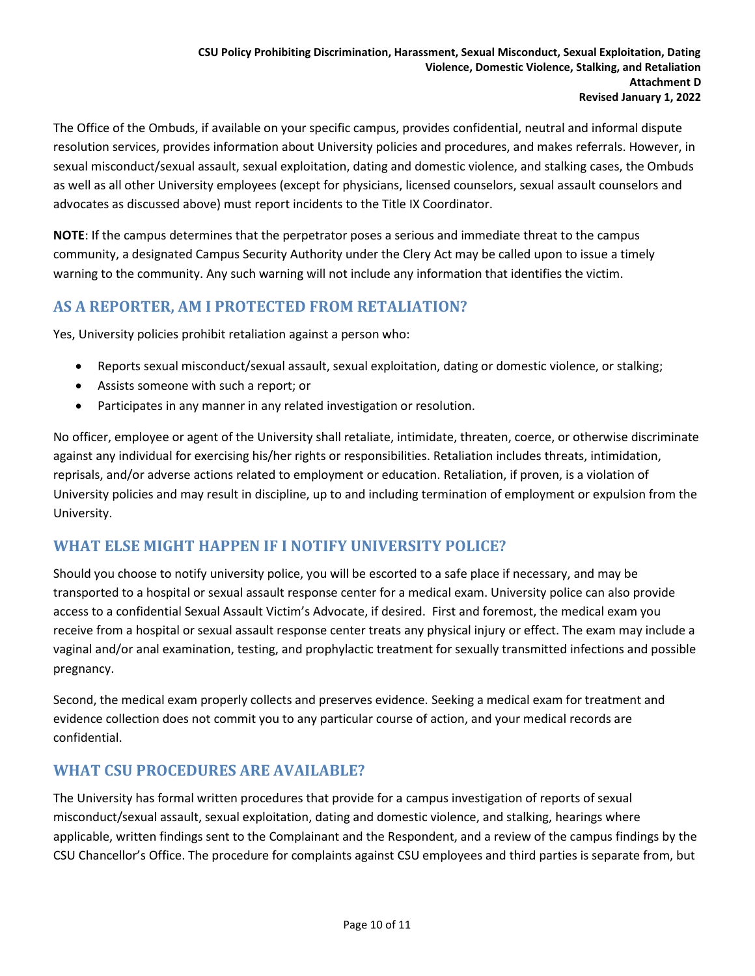The Office of the Ombuds, if available on your specific campus, provides confidential, neutral and informal dispute resolution services, provides information about University policies and procedures, and makes referrals. However, in sexual misconduct/sexual assault, sexual exploitation, dating and domestic violence, and stalking cases, the Ombuds as well as all other University employees (except for physicians, licensed counselors, sexual assault counselors and advocates as discussed above) must report incidents to the Title IX Coordinator.

**NOTE**: If the campus determines that the perpetrator poses a serious and immediate threat to the campus community, a designated Campus Security Authority under the Clery Act may be called upon to issue a timely warning to the community. Any such warning will not include any information that identifies the victim.

# **AS A REPORTER, AM I PROTECTED FROM RETALIATION?**

Yes, University policies prohibit retaliation against a person who:

- Reports sexual misconduct/sexual assault, sexual exploitation, dating or domestic violence, or stalking;
- Assists someone with such a report; or
- Participates in any manner in any related investigation or resolution.

No officer, employee or agent of the University shall retaliate, intimidate, threaten, coerce, or otherwise discriminate against any individual for exercising his/her rights or responsibilities. Retaliation includes threats, intimidation, reprisals, and/or adverse actions related to employment or education. Retaliation, if proven, is a violation of University policies and may result in discipline, up to and including termination of employment or expulsion from the University.

## **WHAT ELSE MIGHT HAPPEN IF I NOTIFY UNIVERSITY POLICE?**

Should you choose to notify university police, you will be escorted to a safe place if necessary, and may be transported to a hospital or sexual assault response center for a medical exam. University police can also provide access to a confidential Sexual Assault Victim's Advocate, if desired. First and foremost, the medical exam you receive from a hospital or sexual assault response center treats any physical injury or effect. The exam may include a vaginal and/or anal examination, testing, and prophylactic treatment for sexually transmitted infections and possible pregnancy.

Second, the medical exam properly collects and preserves evidence. Seeking a medical exam for treatment and evidence collection does not commit you to any particular course of action, and your medical records are confidential.

## **WHAT CSU PROCEDURES ARE AVAILABLE?**

The University has formal written procedures that provide for a campus investigation of reports of sexual misconduct/sexual assault, sexual exploitation, dating and domestic violence, and stalking, hearings where applicable, written findings sent to the Complainant and the Respondent, and a review of the campus findings by the CSU Chancellor's Office. The procedure for complaints against CSU employees and third parties is separate from, but